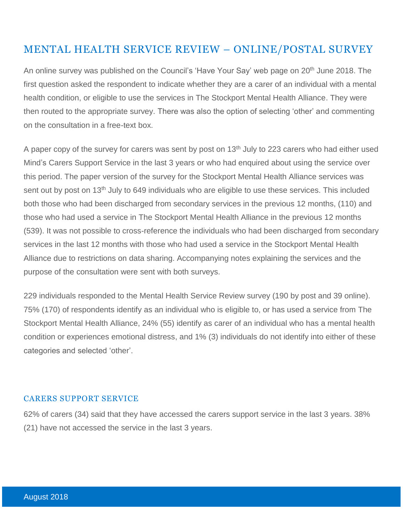# MENTAL HEALTH SERVICE REVIEW – ONLINE/POSTAL SURVEY

An online survey was published on the Council's 'Have Your Say' web page on 20<sup>th</sup> June 2018. The first question asked the respondent to indicate whether they are a carer of an individual with a mental health condition, or eligible to use the services in The Stockport Mental Health Alliance. They were then routed to the appropriate survey. There was also the option of selecting 'other' and commenting on the consultation in a free-text box.

A paper copy of the survey for carers was sent by post on 13<sup>th</sup> July to 223 carers who had either used Mind's Carers Support Service in the last 3 years or who had enquired about using the service over this period. The paper version of the survey for the Stockport Mental Health Alliance services was sent out by post on 13<sup>th</sup> July to 649 individuals who are eligible to use these services. This included both those who had been discharged from secondary services in the previous 12 months, (110) and those who had used a service in The Stockport Mental Health Alliance in the previous 12 months (539). It was not possible to cross-reference the individuals who had been discharged from secondary services in the last 12 months with those who had used a service in the Stockport Mental Health Alliance due to restrictions on data sharing. Accompanying notes explaining the services and the purpose of the consultation were sent with both surveys.

229 individuals responded to the Mental Health Service Review survey (190 by post and 39 online). 75% (170) of respondents identify as an individual who is eligible to, or has used a service from The Stockport Mental Health Alliance, 24% (55) identify as carer of an individual who has a mental health condition or experiences emotional distress, and 1% (3) individuals do not identify into either of these categories and selected 'other'.

#### CARERS SUPPORT SERVICE

62% of carers (34) said that they have accessed the carers support service in the last 3 years. 38% (21) have not accessed the service in the last 3 years.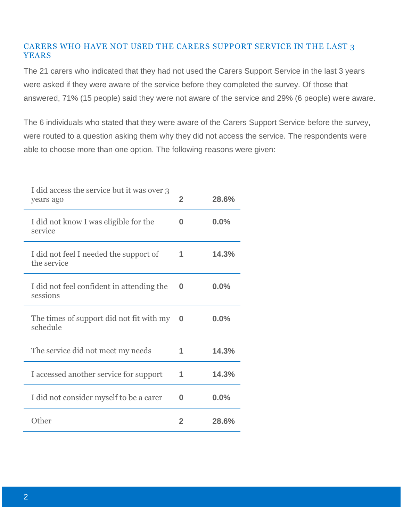### CARERS WHO HAVE NOT USED THE CARERS SUPPORT SERVICE IN THE LAST 3 YEARS

The 21 carers who indicated that they had not used the Carers Support Service in the last 3 years were asked if they were aware of the service before they completed the survey. Of those that answered, 71% (15 people) said they were not aware of the service and 29% (6 people) were aware.

The 6 individuals who stated that they were aware of the Carers Support Service before the survey, were routed to a question asking them why they did not access the service. The respondents were able to choose more than one option. The following reasons were given:

| I did access the service but it was over 3<br>years ago | $\overline{2}$ | 28.6% |
|---------------------------------------------------------|----------------|-------|
| I did not know I was eligible for the<br>service        | 0              | 0.0%  |
| I did not feel I needed the support of<br>the service   | 1              | 14.3% |
| I did not feel confident in attending the<br>sessions   | O              | 0.0%  |
| The times of support did not fit with my<br>schedule    | 0              | 0.0%  |
| The service did not meet my needs                       | 1              | 14.3% |
| I accessed another service for support                  | 1              | 14.3% |
| I did not consider myself to be a carer                 | 0              | 0.0%  |
| Other                                                   | $\mathbf{2}$   | 28.6% |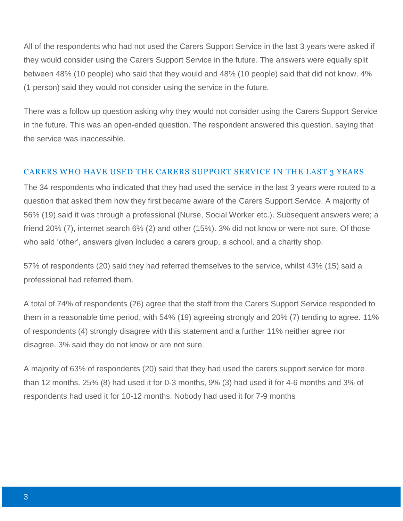All of the respondents who had not used the Carers Support Service in the last 3 years were asked if they would consider using the Carers Support Service in the future. The answers were equally split between 48% (10 people) who said that they would and 48% (10 people) said that did not know. 4% (1 person) said they would not consider using the service in the future.

There was a follow up question asking why they would not consider using the Carers Support Service in the future. This was an open-ended question. The respondent answered this question, saying that the service was inaccessible.

#### CARERS WHO HAVE USED THE CARERS SUPPORT SERVICE IN THE LAST 3 YEARS

The 34 respondents who indicated that they had used the service in the last 3 years were routed to a question that asked them how they first became aware of the Carers Support Service. A majority of 56% (19) said it was through a professional (Nurse, Social Worker etc.). Subsequent answers were; a friend 20% (7), internet search 6% (2) and other (15%). 3% did not know or were not sure. Of those who said 'other', answers given included a carers group, a school, and a charity shop.

57% of respondents (20) said they had referred themselves to the service, whilst 43% (15) said a professional had referred them.

A total of 74% of respondents (26) agree that the staff from the Carers Support Service responded to them in a reasonable time period, with 54% (19) agreeing strongly and 20% (7) tending to agree. 11% of respondents (4) strongly disagree with this statement and a further 11% neither agree nor disagree. 3% said they do not know or are not sure.

A majority of 63% of respondents (20) said that they had used the carers support service for more than 12 months. 25% (8) had used it for 0-3 months, 9% (3) had used it for 4-6 months and 3% of respondents had used it for 10-12 months. Nobody had used it for 7-9 months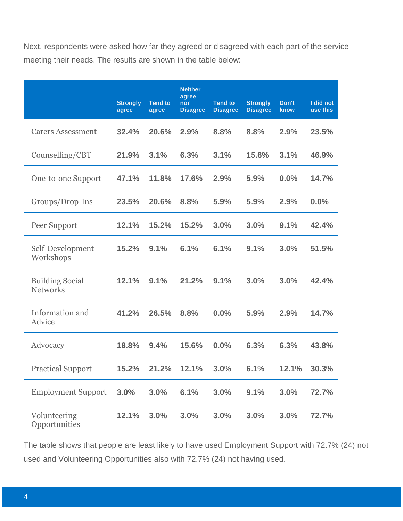Next, respondents were asked how far they agreed or disagreed with each part of the service meeting their needs. The results are shown in the table below:

|                                           | <b>Strongly</b><br>agree | <b>Tend to</b><br>agree | <b>Neither</b><br>agree<br>nor<br><b>Disagree</b> | <b>Tend to</b><br><b>Disagree</b> | <b>Strongly</b><br><b>Disagree</b> | Don't<br>know | I did not<br>use this |
|-------------------------------------------|--------------------------|-------------------------|---------------------------------------------------|-----------------------------------|------------------------------------|---------------|-----------------------|
| <b>Carers Assessment</b>                  | 32.4%                    | 20.6%                   | 2.9%                                              | 8.8%                              | 8.8%                               | 2.9%          | 23.5%                 |
| Counselling/CBT                           | 21.9%                    | 3.1%                    | 6.3%                                              | 3.1%                              | 15.6%                              | 3.1%          | 46.9%                 |
| One-to-one Support                        | 47.1%                    | 11.8%                   | 17.6%                                             | 2.9%                              | 5.9%                               | $0.0\%$       | 14.7%                 |
| Groups/Drop-Ins                           | 23.5%                    | 20.6%                   | 8.8%                                              | 5.9%                              | 5.9%                               | 2.9%          | 0.0%                  |
| Peer Support                              | 12.1%                    | 15.2%                   | 15.2%                                             | 3.0%                              | 3.0%                               | 9.1%          | 42.4%                 |
| Self-Development<br>Workshops             | 15.2%                    | 9.1%                    | 6.1%                                              | 6.1%                              | 9.1%                               | 3.0%          | 51.5%                 |
| <b>Building Social</b><br><b>Networks</b> | 12.1%                    | 9.1%                    | 21.2%                                             | 9.1%                              | 3.0%                               | 3.0%          | 42.4%                 |
| Information and<br>Advice                 | 41.2%                    | 26.5%                   | 8.8%                                              | 0.0%                              | 5.9%                               | 2.9%          | 14.7%                 |
| Advocacy                                  | 18.8%                    | 9.4%                    | 15.6%                                             | 0.0%                              | 6.3%                               | 6.3%          | 43.8%                 |
| <b>Practical Support</b>                  | 15.2%                    | 21.2%                   | 12.1%                                             | 3.0%                              | 6.1%                               | 12.1%         | 30.3%                 |
| <b>Employment Support</b>                 | 3.0%                     | 3.0%                    | 6.1%                                              | 3.0%                              | 9.1%                               | 3.0%          | 72.7%                 |
| Volunteering<br>Opportunities             | 12.1%                    | 3.0%                    | 3.0%                                              | 3.0%                              | 3.0%                               | 3.0%          | 72.7%                 |

The table shows that people are least likely to have used Employment Support with 72.7% (24) not used and Volunteering Opportunities also with 72.7% (24) not having used.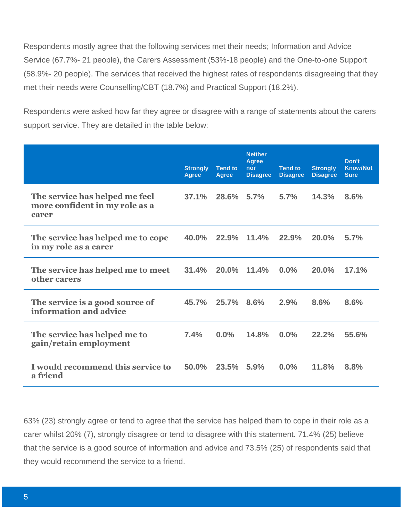Respondents mostly agree that the following services met their needs; Information and Advice Service (67.7%- 21 people), the Carers Assessment (53%-18 people) and the One-to-one Support (58.9%- 20 people). The services that received the highest rates of respondents disagreeing that they met their needs were Counselling/CBT (18.7%) and Practical Support (18.2%).

Respondents were asked how far they agree or disagree with a range of statements about the carers support service. They are detailed in the table below:

|                                                                           | <b>Strongly</b><br><b>Agree</b> | <b>Tend to</b><br><b>Agree</b> | <b>Neither</b><br><b>Agree</b><br>nor<br><b>Disagree</b> | <b>Tend to</b><br><b>Disagree</b> | <b>Strongly</b><br><b>Disagree</b> | Don't<br><b>Know/Not</b><br><b>Sure</b> |
|---------------------------------------------------------------------------|---------------------------------|--------------------------------|----------------------------------------------------------|-----------------------------------|------------------------------------|-----------------------------------------|
| The service has helped me feel<br>more confident in my role as a<br>carer | 37.1%                           | $28.6\%$                       | 5.7%                                                     | 5.7%                              | 14.3%                              | 8.6%                                    |
| The service has helped me to cope<br>in my role as a carer                | 40.0%                           | 22.9%                          | 11.4%                                                    | 22.9%                             | 20.0%                              | 5.7%                                    |
| The service has helped me to meet<br>other carers                         | 31.4%                           | 20.0%                          | 11.4%                                                    | 0.0%                              | 20.0%                              | 17.1%                                   |
| The service is a good source of<br>information and advice                 | 45.7%                           | 25.7%                          | 8.6%                                                     | 2.9%                              | 8.6%                               | 8.6%                                    |
| The service has helped me to<br>gain/retain employment                    | 7.4%                            | 0.0%                           | 14.8%                                                    | 0.0%                              | 22.2%                              | 55.6%                                   |
| I would recommend this service to<br>a friend                             | 50.0%                           | 23.5%                          | 5.9%                                                     | 0.0%                              | 11.8%                              | 8.8%                                    |

63% (23) strongly agree or tend to agree that the service has helped them to cope in their role as a carer whilst 20% (7), strongly disagree or tend to disagree with this statement. 71.4% (25) believe that the service is a good source of information and advice and 73.5% (25) of respondents said that they would recommend the service to a friend.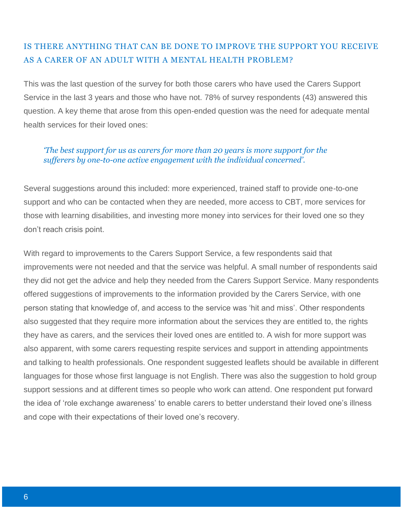## IS THERE ANYTHING THAT CAN BE DONE TO IMPROVE THE SUPPORT YOU RECEIVE AS A CARER OF AN ADULT WITH A MENTAL HEALTH PROBLEM?

This was the last question of the survey for both those carers who have used the Carers Support Service in the last 3 years and those who have not. 78% of survey respondents (43) answered this question. A key theme that arose from this open-ended question was the need for adequate mental health services for their loved ones:

#### *'The best support for us as carers for more than 20 years is more support for the sufferers by one-to-one active engagement with the individual concerned'.*

Several suggestions around this included: more experienced, trained staff to provide one-to-one support and who can be contacted when they are needed, more access to CBT, more services for those with learning disabilities, and investing more money into services for their loved one so they don't reach crisis point.

With regard to improvements to the Carers Support Service, a few respondents said that improvements were not needed and that the service was helpful. A small number of respondents said they did not get the advice and help they needed from the Carers Support Service. Many respondents offered suggestions of improvements to the information provided by the Carers Service, with one person stating that knowledge of, and access to the service was 'hit and miss'. Other respondents also suggested that they require more information about the services they are entitled to, the rights they have as carers, and the services their loved ones are entitled to. A wish for more support was also apparent, with some carers requesting respite services and support in attending appointments and talking to health professionals. One respondent suggested leaflets should be available in different languages for those whose first language is not English. There was also the suggestion to hold group support sessions and at different times so people who work can attend. One respondent put forward the idea of 'role exchange awareness' to enable carers to better understand their loved one's illness and cope with their expectations of their loved one's recovery.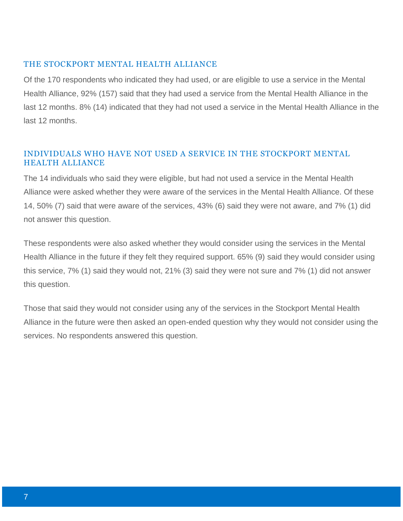#### THE STOCKPORT MENTAL HEALTH ALLIANCE

Of the 170 respondents who indicated they had used, or are eligible to use a service in the Mental Health Alliance, 92% (157) said that they had used a service from the Mental Health Alliance in the last 12 months. 8% (14) indicated that they had not used a service in the Mental Health Alliance in the last 12 months.

### INDIVIDUALS WHO HAVE NOT USED A SERVICE IN THE STOCKPORT MENTAL HEALTH ALLIANCE

The 14 individuals who said they were eligible, but had not used a service in the Mental Health Alliance were asked whether they were aware of the services in the Mental Health Alliance. Of these 14, 50% (7) said that were aware of the services, 43% (6) said they were not aware, and 7% (1) did not answer this question.

These respondents were also asked whether they would consider using the services in the Mental Health Alliance in the future if they felt they required support. 65% (9) said they would consider using this service, 7% (1) said they would not, 21% (3) said they were not sure and 7% (1) did not answer this question.

Those that said they would not consider using any of the services in the Stockport Mental Health Alliance in the future were then asked an open-ended question why they would not consider using the services. No respondents answered this question.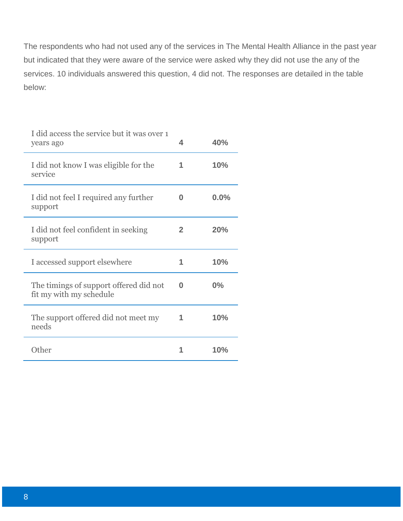The respondents who had not used any of the services in The Mental Health Alliance in the past year but indicated that they were aware of the service were asked why they did not use the any of the services. 10 individuals answered this question, 4 did not. The responses are detailed in the table below:

| I did access the service but it was over 1<br>years ago           | 4            | 40%  |
|-------------------------------------------------------------------|--------------|------|
| I did not know I was eligible for the<br>service                  | 1            | 10%  |
| I did not feel I required any further<br>support                  | O            | 0.0% |
| I did not feel confident in seeking<br>support                    | $\mathbf{2}$ | 20%  |
| I accessed support elsewhere                                      | 1            | 10%  |
| The timings of support offered did not<br>fit my with my schedule | O            | 0%   |
| The support offered did not meet my<br>needs                      | 1            | 10%  |
| Other                                                             |              | 10%  |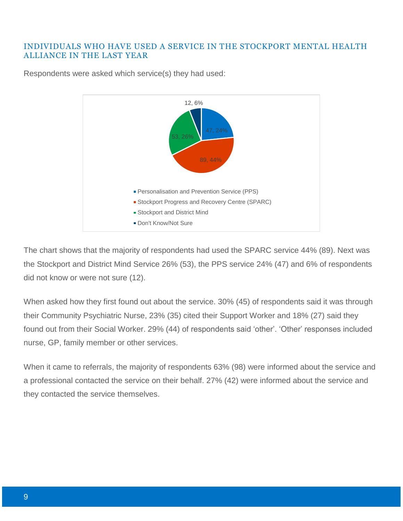#### INDIVIDUALS WHO HAVE USED A SERVICE IN THE STOCKPORT MENTAL HEALTH ALLIANCE IN THE LAST YEAR



Respondents were asked which service(s) they had used:

The chart shows that the majority of respondents had used the SPARC service 44% (89). Next was the Stockport and District Mind Service 26% (53), the PPS service 24% (47) and 6% of respondents did not know or were not sure (12).

When asked how they first found out about the service. 30% (45) of respondents said it was through their Community Psychiatric Nurse, 23% (35) cited their Support Worker and 18% (27) said they found out from their Social Worker. 29% (44) of respondents said 'other'. 'Other' responses included nurse, GP, family member or other services.

When it came to referrals, the majority of respondents 63% (98) were informed about the service and a professional contacted the service on their behalf. 27% (42) were informed about the service and they contacted the service themselves.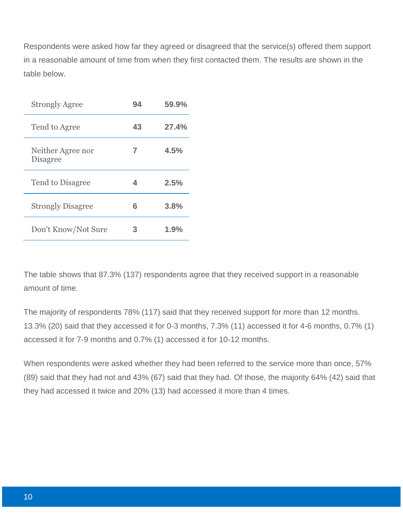Respondents were asked how far they agreed or disagreed that the service(s) offered them support in a reasonable amount of time from when they first contacted them. The results are shown in the table below.

| <b>Strongly Agree</b>                | 94 | 59.9% |
|--------------------------------------|----|-------|
| Tend to Agree                        | 43 | 27.4% |
| Neither Agree nor<br><b>Disagree</b> | 7  | 4.5%  |
| Tend to Disagree                     | 4  | 2.5%  |
| <b>Strongly Disagree</b>             | 6  | 3.8%  |
| Don't Know/Not Sure                  | З  | 1.9%  |

The table shows that 87.3% (137) respondents agree that they received support in a reasonable amount of time.

The majority of respondents 78% (117) said that they received support for more than 12 months. 13.3% (20) said that they accessed it for 0-3 months, 7.3% (11) accessed it for 4-6 months, 0.7% (1) accessed it for 7-9 months and 0.7% (1) accessed it for 10-12 months.

When respondents were asked whether they had been referred to the service more than once, 57% (89) said that they had not and 43% (67) said that they had. Of those, the majority 64% (42) said that they had accessed it twice and 20% (13) had accessed it more than 4 times.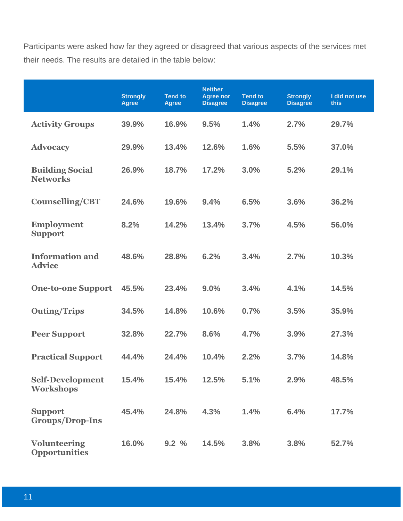Participants were asked how far they agreed or disagreed that various aspects of the services met their needs. The results are detailed in the table below:

|                                             | <b>Strongly</b><br><b>Agree</b> | <b>Tend to</b><br><b>Agree</b> | <b>Neither</b><br><b>Agree nor</b><br><b>Disagree</b> | <b>Tend to</b><br><b>Disagree</b> | <b>Strongly</b><br><b>Disagree</b> | I did not use<br>this |
|---------------------------------------------|---------------------------------|--------------------------------|-------------------------------------------------------|-----------------------------------|------------------------------------|-----------------------|
| <b>Activity Groups</b>                      | 39.9%                           | 16.9%                          | 9.5%                                                  | 1.4%                              | 2.7%                               | 29.7%                 |
| <b>Advocacy</b>                             | 29.9%                           | 13.4%                          | 12.6%                                                 | 1.6%                              | 5.5%                               | 37.0%                 |
| <b>Building Social</b><br><b>Networks</b>   | 26.9%                           | 18.7%                          | 17.2%                                                 | 3.0%                              | 5.2%                               | 29.1%                 |
| <b>Counselling/CBT</b>                      | 24.6%                           | 19.6%                          | 9.4%                                                  | 6.5%                              | 3.6%                               | 36.2%                 |
| <b>Employment</b><br><b>Support</b>         | 8.2%                            | 14.2%                          | 13.4%                                                 | 3.7%                              | 4.5%                               | 56.0%                 |
| <b>Information and</b><br><b>Advice</b>     | 48.6%                           | 28.8%                          | 6.2%                                                  | 3.4%                              | 2.7%                               | 10.3%                 |
| <b>One-to-one Support</b>                   | 45.5%                           | 23.4%                          | 9.0%                                                  | 3.4%                              | 4.1%                               | 14.5%                 |
| <b>Outing/Trips</b>                         | 34.5%                           | 14.8%                          | 10.6%                                                 | 0.7%                              | 3.5%                               | 35.9%                 |
| <b>Peer Support</b>                         | 32.8%                           | 22.7%                          | 8.6%                                                  | 4.7%                              | 3.9%                               | 27.3%                 |
| <b>Practical Support</b>                    | 44.4%                           | 24.4%                          | 10.4%                                                 | 2.2%                              | 3.7%                               | 14.8%                 |
| <b>Self-Development</b><br><b>Workshops</b> | 15.4%                           | 15.4%                          | 12.5%                                                 | 5.1%                              | 2.9%                               | 48.5%                 |
| <b>Support</b><br><b>Groups/Drop-Ins</b>    | 45.4%                           | 24.8%                          | 4.3%                                                  | 1.4%                              | 6.4%                               | 17.7%                 |
| <b>Volunteering</b><br><b>Opportunities</b> | 16.0%                           | 9.2%                           | 14.5%                                                 | 3.8%                              | 3.8%                               | 52.7%                 |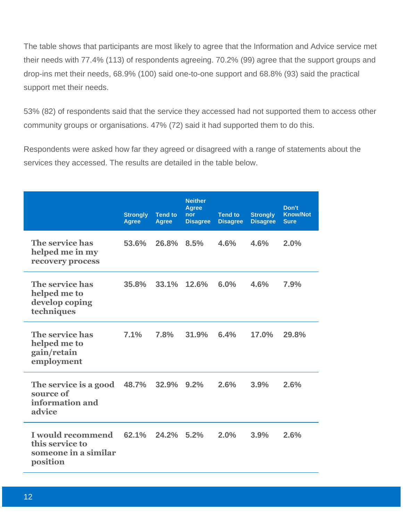The table shows that participants are most likely to agree that the Information and Advice service met their needs with 77.4% (113) of respondents agreeing. 70.2% (99) agree that the support groups and drop-ins met their needs, 68.9% (100) said one-to-one support and 68.8% (93) said the practical support met their needs.

53% (82) of respondents said that the service they accessed had not supported them to access other community groups or organisations. 47% (72) said it had supported them to do this.

Respondents were asked how far they agreed or disagreed with a range of statements about the services they accessed. The results are detailed in the table below.

|                                                                          | <b>Strongly</b><br><b>Agree</b> | <b>Tend to</b><br><b>Agree</b> | <b>Neither</b><br><b>Agree</b><br>nor<br><b>Disagree</b> | <b>Tend to</b><br><b>Disagree</b> | <b>Strongly</b><br><b>Disagree</b> | Don't<br><b>Know/Not</b><br><b>Sure</b> |
|--------------------------------------------------------------------------|---------------------------------|--------------------------------|----------------------------------------------------------|-----------------------------------|------------------------------------|-----------------------------------------|
| The service has<br>helped me in my<br>recovery process                   | 53.6%                           | 26.8%                          | 8.5%                                                     | 4.6%                              | 4.6%                               | 2.0%                                    |
| The service has<br>helped me to<br>develop coping<br>techniques          | 35.8%                           | 33.1%                          | 12.6%                                                    | 6.0%                              | 4.6%                               | 7.9%                                    |
| The service has<br>helped me to<br>gain/retain<br>employment             | 7.1%                            | 7.8%                           | 31.9%                                                    | 6.4%                              | 17.0%                              | 29.8%                                   |
| The service is a good<br>source of<br>information and<br>advice          | 48.7%                           | 32.9%                          | 9.2%                                                     | 2.6%                              | 3.9%                               | 2.6%                                    |
| I would recommend<br>this service to<br>someone in a similar<br>position | 62.1%                           | 24.2% 5.2%                     |                                                          | 2.0%                              | 3.9%                               | 2.6%                                    |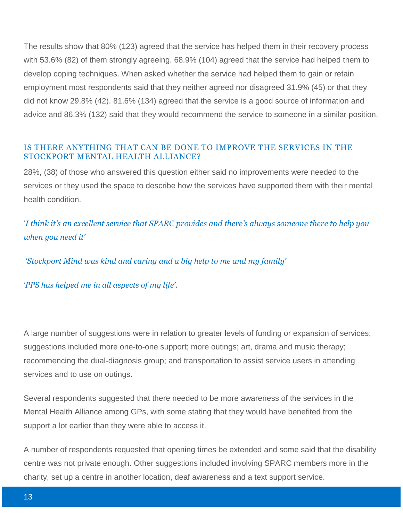The results show that 80% (123) agreed that the service has helped them in their recovery process with 53.6% (82) of them strongly agreeing. 68.9% (104) agreed that the service had helped them to develop coping techniques. When asked whether the service had helped them to gain or retain employment most respondents said that they neither agreed nor disagreed 31.9% (45) or that they did not know 29.8% (42). 81.6% (134) agreed that the service is a good source of information and advice and 86.3% (132) said that they would recommend the service to someone in a similar position.

#### IS THERE ANYTHING THAT CAN BE DONE TO IMPROVE THE SERVICES IN THE STOCKPORT MENTAL HEALTH ALLIANCE?

28%, (38) of those who answered this question either said no improvements were needed to the services or they used the space to describe how the services have supported them with their mental health condition.

'*I think it's an excellent service that SPARC provides and there's always someone there to help you when you need it'*

*'Stockport Mind was kind and caring and a big help to me and my family'* 

*'PPS has helped me in all aspects of my life'.* 

A large number of suggestions were in relation to greater levels of funding or expansion of services; suggestions included more one-to-one support; more outings; art, drama and music therapy; recommencing the dual-diagnosis group; and transportation to assist service users in attending services and to use on outings.

Several respondents suggested that there needed to be more awareness of the services in the Mental Health Alliance among GPs, with some stating that they would have benefited from the support a lot earlier than they were able to access it.

A number of respondents requested that opening times be extended and some said that the disability centre was not private enough. Other suggestions included involving SPARC members more in the charity, set up a centre in another location, deaf awareness and a text support service.